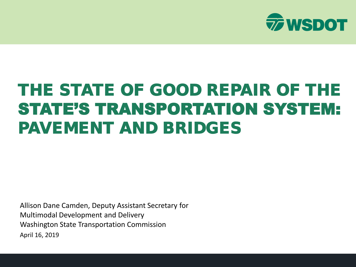

#### THE STATE OF GOOD REPAIR OF THE STATE'S TRANSPORTATION SYSTEM: PAVEMENT AND BRIDGES

Allison Dane Camden, Deputy Assistant Secretary for Multimodal Development and Delivery Washington State Transportation Commission April 16, 2019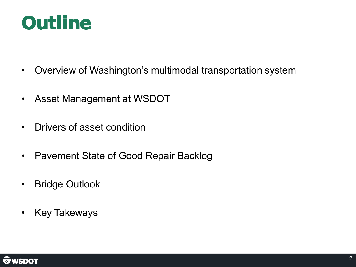#### **Outline**

- Overview of Washington's multimodal transportation system
- Asset Management at WSDOT
- Drivers of asset condition
- Pavement State of Good Repair Backlog
- Bridge Outlook
- Key Takeways

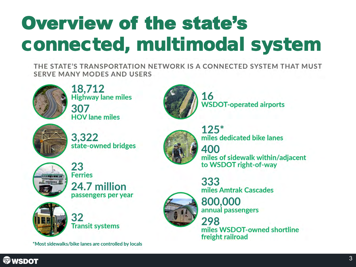# Overview of the state's connected, multimodal system

THE STATE'S TRANSPORTATION NETWORK IS A CONNECTED SYSTEM THAT MUST **SERVE MANY MODES AND USERS** 



18,712 **Highway lane miles** 307 **HOV** lane miles



16 **WSDOT-operated airports** 



3,322 state-owned bridges



23 **Ferries** 24.7 million passengers per year



32 **Transit systems** 

\*Most sidewalks/bike lanes are controlled by locals



 $125*$ miles dedicated bike lanes 400 miles of sidewalk within/adjacent to WSDOT right-of-way

333 miles Amtrak Cascades



800,000 annual passengers

298 miles WSDOT-owned shortline freight railroad

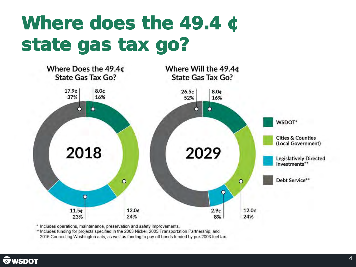## Where does the 49.4 ¢ state gas tax go?



\* Includes operations, maintenance, preservation and safety improvements.

\*\* Includes funding for projects specified in the 2003 Nickel, 2005 Transportation Partnership, and 2015 Connecting Washington acts, as well as funding to pay off bonds funded by pre-2003 fuel tax.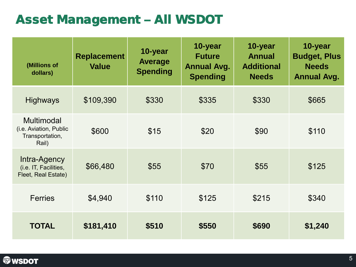#### Asset Management – All WSDOT

| (Millions of<br>dollars)                                         | <b>Replacement</b><br><b>Value</b> | 10-year<br><b>Average</b><br><b>Spending</b> | 10-year<br><b>Future</b><br><b>Annual Avg.</b><br><b>Spending</b> | 10-year<br><b>Annual</b><br><b>Additional</b><br><b>Needs</b> | 10-year<br><b>Budget, Plus</b><br><b>Needs</b><br><b>Annual Avg.</b> |
|------------------------------------------------------------------|------------------------------------|----------------------------------------------|-------------------------------------------------------------------|---------------------------------------------------------------|----------------------------------------------------------------------|
| <b>Highways</b>                                                  | \$109,390                          | \$330                                        | \$335                                                             | \$330                                                         | \$665                                                                |
| Multimodal<br>(i.e. Aviation, Public<br>Transportation,<br>Rail) | \$600                              | \$15                                         | \$20                                                              | \$90                                                          | \$110                                                                |
| Intra-Agency<br>(i.e. IT, Facilities,<br>Fleet, Real Estate)     | \$66,480                           | \$55                                         | \$70                                                              | \$55                                                          | \$125                                                                |
| <b>Ferries</b>                                                   | \$4,940                            | \$110                                        | \$125                                                             | \$215                                                         | \$340                                                                |
| <b>TOTAL</b>                                                     | \$181,410                          | \$510                                        | \$550                                                             | \$690                                                         | \$1,240                                                              |

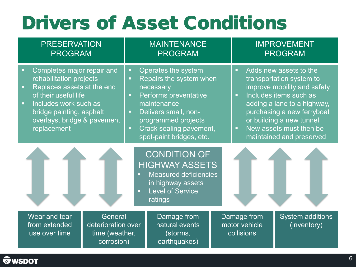### Drivers of Asset Conditions

| <b>PRESERVATION</b><br><b>PROGRAM</b>                                                                                                                                                                                           | <b>MAINTENANCE</b><br><b>PROGRAM</b>                                                                                                                                                                                               | <b>IMPROVEMENT</b><br><b>PROGRAM</b>                                                                                                                                                                                                                                                      |  |  |
|---------------------------------------------------------------------------------------------------------------------------------------------------------------------------------------------------------------------------------|------------------------------------------------------------------------------------------------------------------------------------------------------------------------------------------------------------------------------------|-------------------------------------------------------------------------------------------------------------------------------------------------------------------------------------------------------------------------------------------------------------------------------------------|--|--|
| Completes major repair and<br>Ξ<br>rehabilitation projects<br>Replaces assets at the end<br>o,<br>of their useful life<br>Includes work such as<br>ø,<br>bridge painting, asphalt<br>overlays, bridge & pavement<br>replacement | Operates the system<br>ш<br>Repairs the system when<br>ш<br>necessary<br>Performs preventative<br>ш<br>maintenance<br>Delivers small, non-<br>ш<br>programmed projects<br>Crack sealing pavement,<br>ш<br>spot-paint bridges, etc. | Adds new assets to the<br>o.<br>transportation system to<br>improve mobility and safety<br>Includes items such as<br>$\blacksquare$<br>adding a lane to a highway,<br>purchasing a new ferryboat<br>or building a new tunnel<br>New assets must then be<br>ò,<br>maintained and preserved |  |  |
| <b>CONDITION OF</b><br><b>HIGHWAY ASSETS</b><br>Measured deficiencies<br>in highway assets<br><b>Level of Service</b><br>п<br>ratings                                                                                           |                                                                                                                                                                                                                                    |                                                                                                                                                                                                                                                                                           |  |  |
| Wear and tear<br>General<br>from extended<br>deterioration over<br>time (weather,<br>use over time<br>corrosion)                                                                                                                | Damage from<br>natural events<br>(storms,<br>earthquakes)                                                                                                                                                                          | Damage from<br><b>System additions</b><br>motor vehicle<br>(inventory)<br>collisions                                                                                                                                                                                                      |  |  |

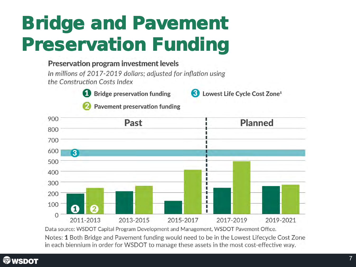# Bridge and Pavement Preservation Funding

#### Preservation program investment levels

In millions of 2017-2019 dollars; adjusted for inflation using the Construction Costs Index



Bridge preservation funding



**Pavement preservation funding** 



Data source: WSDOT Capital Program Development and Management, WSDOT Pavement Office.

Notes: 1 Both Bridge and Pavement funding would need to be in the Lowest Lifecycle Cost Zone in each biennium in order for WSDOT to manage these assets in the most cost-effective way.

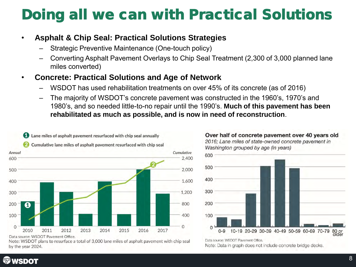#### Doing all we can with Practical Solutions

#### • **Asphalt & Chip Seal: Practical Solutions Strategies**

- Strategic Preventive Maintenance (One-touch policy)
- Converting Asphalt Pavement Overlays to Chip Seal Treatment (2,300 of 3,000 planned lane miles converted)

#### • **Concrete: Practical Solutions and Age of Network**

- WSDOT has used rehabilitation treatments on over 45% of its concrete (as of 2016)
- The majority of WSDOT's concrete pavement was constructed in the 1960's, 1970's and 1980's, and so needed little-to-no repair until the 1990's. **Much of this pavement has been rehabilitated as much as possible, and is now in need of reconstruction**.



Data source: WSDOT Pavement Office.

Note: WSDOT plans to resurface a total of 3,000 lane miles of asphalt pavement with chip seal by the year 2024.

Over half of concrete pavement over 40 years old 2016; Lane miles of state-owned concrete pavement in Washington grouped by age (in years)



Data source: WSDOT Pavement Office.

Note: Data in graph does not include concrete bridge decks.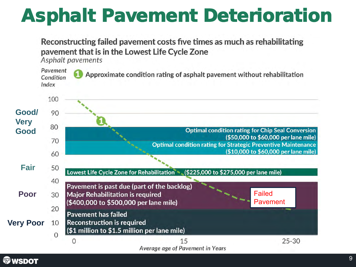## Asphalt Pavement Deterioration

#### Reconstructing failed pavement costs five times as much as rehabilitating payement that is in the Lowest Life Cycle Zone

Asphalt pavements



Average age of Pavement in Years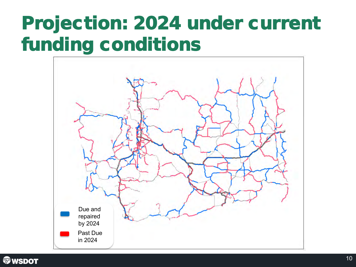### Projection: 2024 under current funding conditions



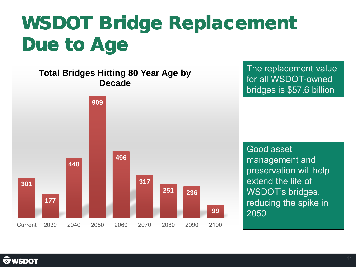## WSDOT Bridge Replacement Due to Age



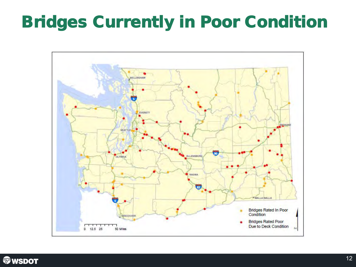#### Bridges Currently in Poor Condition



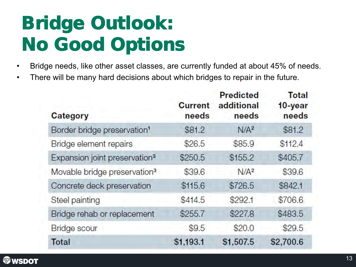## Bridge Outlook: No Good Options

- Bridge needs, like other asset classes, are currently funded at about 45% of needs.
- There will be many hard decisions about which bridges to repair in the future.

| <b>Current</b><br>needs | <b>Predicted</b><br>additional<br>needs | <b>Total</b><br>10-year<br>needs |
|-------------------------|-----------------------------------------|----------------------------------|
| \$81.2                  | N/A <sup>2</sup>                        | \$81.2                           |
| \$26.5                  | \$85.9                                  | \$112.4                          |
| \$250.5                 | \$155.2                                 | \$405.7                          |
| \$39.6                  | N/A <sup>2</sup>                        | \$39.6                           |
| \$115.6                 | \$726.5                                 | \$842.1                          |
| \$414.5                 | \$292.1                                 | \$706.6                          |
| \$255.7                 | \$227.8                                 | \$483.5                          |
| \$9.5                   | \$20.0                                  | \$29.5                           |
| \$1,193.1               | \$1,507.5                               | \$2,700.6                        |
|                         |                                         |                                  |

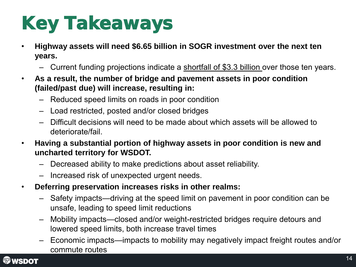# Key Takeaways

- **Highway assets will need \$6.65 billion in SOGR investment over the next ten years.**
	- Current funding projections indicate a shortfall of \$3.3 billion over those ten years.
- **As a result, the number of bridge and pavement assets in poor condition (failed/past due) will increase, resulting in:**
	- Reduced speed limits on roads in poor condition
	- Load restricted, posted and/or closed bridges
	- Difficult decisions will need to be made about which assets will be allowed to deteriorate/fail.
- **Having a substantial portion of highway assets in poor condition is new and uncharted territory for WSDOT.**
	- Decreased ability to make predictions about asset reliability.
	- Increased risk of unexpected urgent needs.
- **Deferring preservation increases risks in other realms:** 
	- Safety impacts—driving at the speed limit on pavement in poor condition can be unsafe, leading to speed limit reductions
	- Mobility impacts—closed and/or weight-restricted bridges require detours and lowered speed limits, both increase travel times
	- Economic impacts—impacts to mobility may negatively impact freight routes and/or commute routes

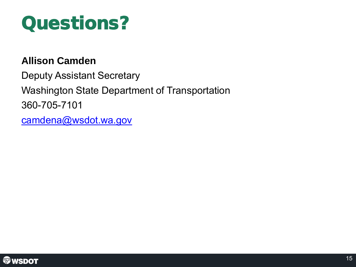

#### **Allison Camden**

Deputy Assistant Secretary Washington State Department of Transportation 360-705-7101 [camdena@wsdot.wa.gov](mailto:camdena@wsdot.wa.gov)